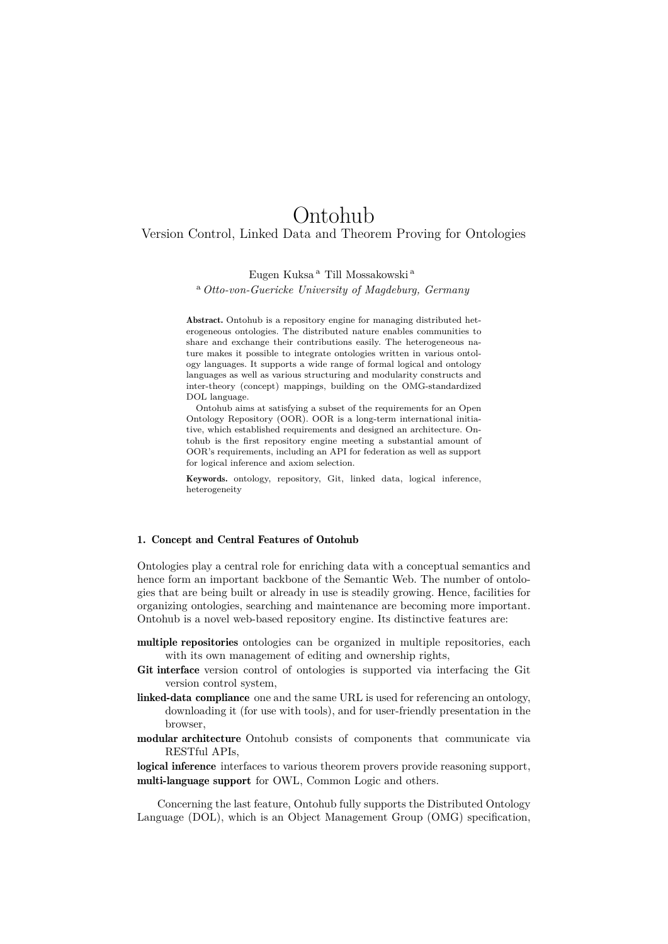# Ontohub

# Version Control, Linked Data and Theorem Proving for Ontologies

# Eugen Kuksa <sup>a</sup> Till Mossakowski <sup>a</sup>

## <sup>a</sup> *Otto-von-Guericke University of Magdeburg, Germany*

Abstract. Ontohub is a repository engine for managing distributed heterogeneous ontologies. The distributed nature enables communities to share and exchange their contributions easily. The heterogeneous nature makes it possible to integrate ontologies written in various ontology languages. It supports a wide range of formal logical and ontology languages as well as various structuring and modularity constructs and inter-theory (concept) mappings, building on the OMG-standardized DOL language.

Ontohub aims at satisfying a subset of the requirements for an Open Ontology Repository (OOR). OOR is a long-term international initiative, which established requirements and designed an architecture. Ontohub is the first repository engine meeting a substantial amount of OOR's requirements, including an API for federation as well as support for logical inference and axiom selection.

Keywords. ontology, repository, Git, linked data, logical inference, heterogeneity

#### 1. Concept and Central Features of Ontohub

Ontologies play a central role for enriching data with a conceptual semantics and hence form an important backbone of the Semantic Web. The number of ontologies that are being built or already in use is steadily growing. Hence, facilities for organizing ontologies, searching and maintenance are becoming more important. Ontohub is a novel web-based repository engine. Its distinctive features are:

- multiple repositories ontologies can be organized in multiple repositories, each with its own management of editing and ownership rights,
- Git interface version control of ontologies is supported via interfacing the Git version control system,
- linked-data compliance one and the same URL is used for referencing an ontology, downloading it (for use with tools), and for user-friendly presentation in the browser,
- modular architecture Ontohub consists of components that communicate via RESTful APIs,

logical inference interfaces to various theorem provers provide reasoning support, multi-language support for OWL, Common Logic and others.

Concerning the last feature, Ontohub fully supports the Distributed Ontology Language (DOL), which is an Object Management Group (OMG) specification,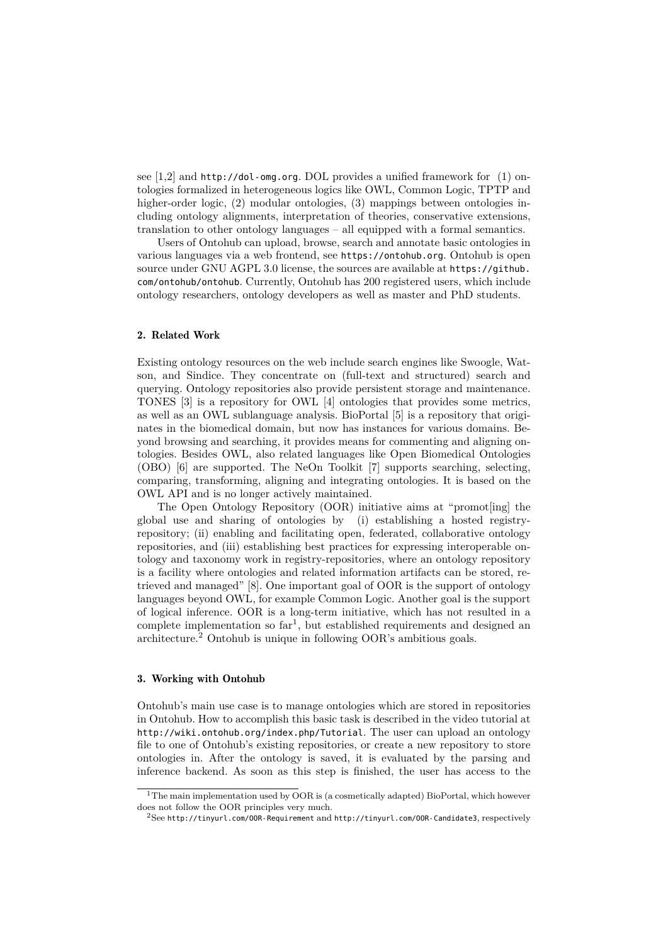see [1,2] and http://dol-omg.org. DOL provides a unified framework for (1) ontologies formalized in heterogeneous logics like OWL, Common Logic, TPTP and higher-order logic, (2) modular ontologies, (3) mappings between ontologies including ontology alignments, interpretation of theories, conservative extensions, translation to other ontology languages – all equipped with a formal semantics.

Users of Ontohub can upload, browse, search and annotate basic ontologies in various languages via a web frontend, see https://ontohub.org. Ontohub is open source under GNU AGPL 3.0 license, the sources are available at https://github. com/ontohub/ontohub. Currently, Ontohub has 200 registered users, which include ontology researchers, ontology developers as well as master and PhD students.

## 2. Related Work

Existing ontology resources on the web include search engines like Swoogle, Watson, and Sindice. They concentrate on (full-text and structured) search and querying. Ontology repositories also provide persistent storage and maintenance. TONES [3] is a repository for OWL [4] ontologies that provides some metrics, as well as an OWL sublanguage analysis. BioPortal [5] is a repository that originates in the biomedical domain, but now has instances for various domains. Beyond browsing and searching, it provides means for commenting and aligning ontologies. Besides OWL, also related languages like Open Biomedical Ontologies (OBO) [6] are supported. The NeOn Toolkit [7] supports searching, selecting, comparing, transforming, aligning and integrating ontologies. It is based on the OWL API and is no longer actively maintained.

The Open Ontology Repository (OOR) initiative aims at "promot[ing] the global use and sharing of ontologies by (i) establishing a hosted registryrepository; (ii) enabling and facilitating open, federated, collaborative ontology repositories, and (iii) establishing best practices for expressing interoperable ontology and taxonomy work in registry-repositories, where an ontology repository is a facility where ontologies and related information artifacts can be stored, retrieved and managed" [8]. One important goal of OOR is the support of ontology languages beyond OWL, for example Common Logic. Another goal is the support of logical inference. OOR is a long-term initiative, which has not resulted in a complete implementation so  $far<sup>1</sup>$ , but established requirements and designed an architecture.<sup>2</sup> Ontohub is unique in following OOR's ambitious goals.

#### 3. Working with Ontohub

Ontohub's main use case is to manage ontologies which are stored in repositories in Ontohub. How to accomplish this basic task is described in the video tutorial at http://wiki.ontohub.org/index.php/Tutorial. The user can upload an ontology file to one of Ontohub's existing repositories, or create a new repository to store ontologies in. After the ontology is saved, it is evaluated by the parsing and inference backend. As soon as this step is finished, the user has access to the

<sup>1</sup>The main implementation used by OOR is (a cosmetically adapted) BioPortal, which however does not follow the OOR principles very much.

 $2$ See http://tinyurl.com/OOR-Requirement and http://tinyurl.com/OOR-Candidate3, respectively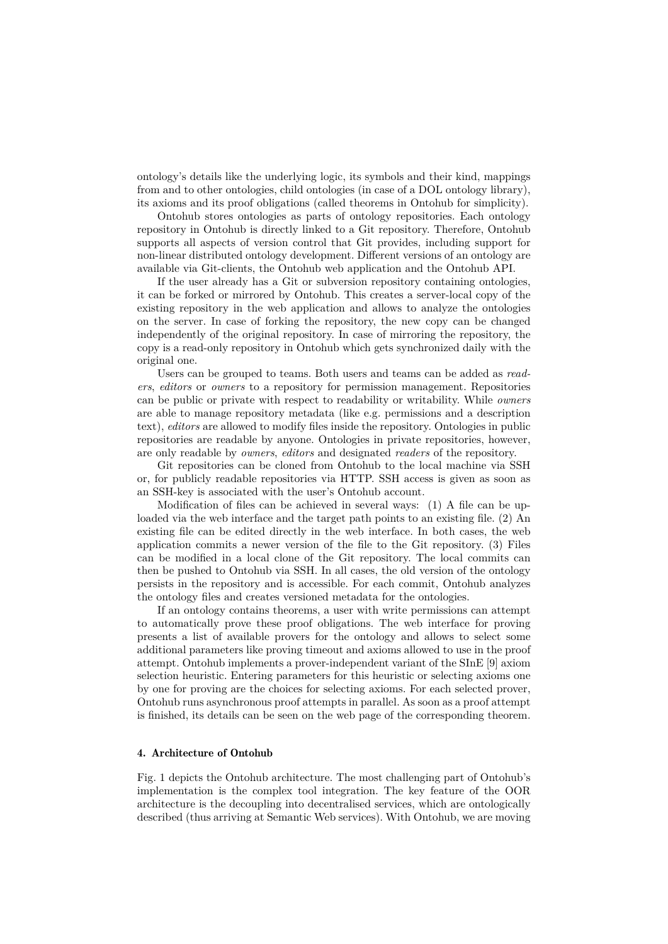ontology's details like the underlying logic, its symbols and their kind, mappings from and to other ontologies, child ontologies (in case of a DOL ontology library), its axioms and its proof obligations (called theorems in Ontohub for simplicity).

Ontohub stores ontologies as parts of ontology repositories. Each ontology repository in Ontohub is directly linked to a Git repository. Therefore, Ontohub supports all aspects of version control that Git provides, including support for non-linear distributed ontology development. Different versions of an ontology are available via Git-clients, the Ontohub web application and the Ontohub API.

If the user already has a Git or subversion repository containing ontologies, it can be forked or mirrored by Ontohub. This creates a server-local copy of the existing repository in the web application and allows to analyze the ontologies on the server. In case of forking the repository, the new copy can be changed independently of the original repository. In case of mirroring the repository, the copy is a read-only repository in Ontohub which gets synchronized daily with the original one.

Users can be grouped to teams. Both users and teams can be added as *readers*, *editors* or *owners* to a repository for permission management. Repositories can be public or private with respect to readability or writability. While *owners* are able to manage repository metadata (like e.g. permissions and a description text), *editors* are allowed to modify files inside the repository. Ontologies in public repositories are readable by anyone. Ontologies in private repositories, however, are only readable by *owners*, *editors* and designated *readers* of the repository.

Git repositories can be cloned from Ontohub to the local machine via SSH or, for publicly readable repositories via HTTP. SSH access is given as soon as an SSH-key is associated with the user's Ontohub account.

Modification of files can be achieved in several ways: (1) A file can be uploaded via the web interface and the target path points to an existing file. (2) An existing file can be edited directly in the web interface. In both cases, the web application commits a newer version of the file to the Git repository. (3) Files can be modified in a local clone of the Git repository. The local commits can then be pushed to Ontohub via SSH. In all cases, the old version of the ontology persists in the repository and is accessible. For each commit, Ontohub analyzes the ontology files and creates versioned metadata for the ontologies.

If an ontology contains theorems, a user with write permissions can attempt to automatically prove these proof obligations. The web interface for proving presents a list of available provers for the ontology and allows to select some additional parameters like proving timeout and axioms allowed to use in the proof attempt. Ontohub implements a prover-independent variant of the SInE [9] axiom selection heuristic. Entering parameters for this heuristic or selecting axioms one by one for proving are the choices for selecting axioms. For each selected prover, Ontohub runs asynchronous proof attempts in parallel. As soon as a proof attempt is finished, its details can be seen on the web page of the corresponding theorem.

# 4. Architecture of Ontohub

Fig. 1 depicts the Ontohub architecture. The most challenging part of Ontohub's implementation is the complex tool integration. The key feature of the OOR architecture is the decoupling into decentralised services, which are ontologically described (thus arriving at Semantic Web services). With Ontohub, we are moving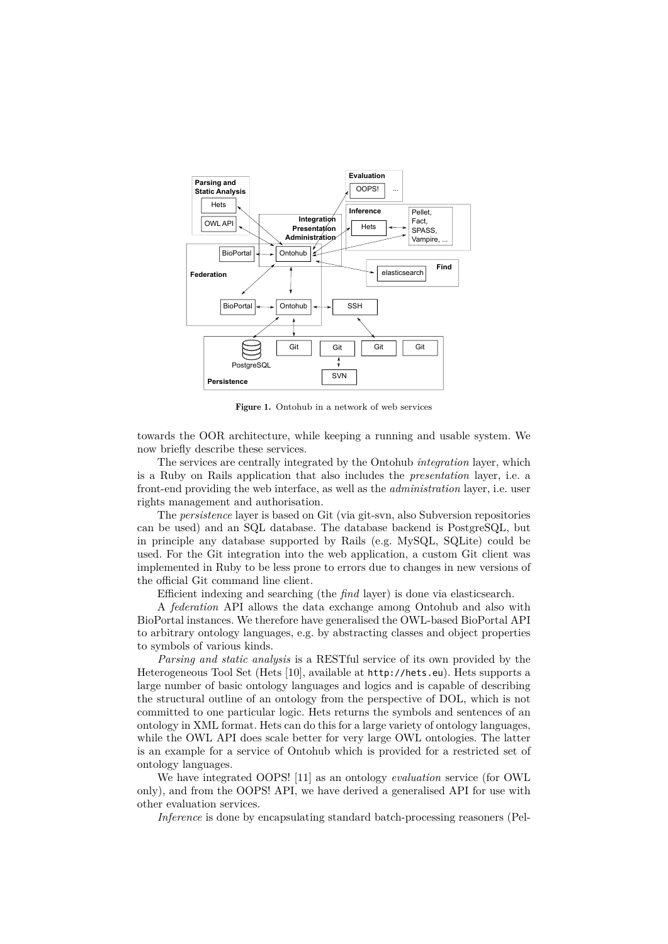

Figure 1. Ontohub in a network of web services

towards the OOR architecture, while keeping a running and usable system. We now briefly describe these services.

The services are centrally integrated by the Ontohub *integration* layer, which is a Ruby on Rails application that also includes the *presentation* layer, i.e. a front-end providing the web interface, as well as the *administration* layer, i.e. user rights management and authorisation.

The *persistence* layer is based on Git (via git-svn, also Subversion repositories can be used) and an SQL database. The database backend is PostgreSQL, but in principle any database supported by Rails (e.g. MySQL, SQLite) could be used. For the Git integration into the web application, a custom Git client was implemented in Ruby to be less prone to errors due to changes in new versions of the official Git command line client.

Efficient indexing and searching (the *find* layer) is done via elasticsearch.

A *federation* API allows the data exchange among Ontohub and also with BioPortal instances. We therefore have generalised the OWL-based BioPortal API to arbitrary ontology languages, e.g. by abstracting classes and object properties to symbols of various kinds.

*Parsing and static analysis* is a RESTful service of its own provided by the Heterogeneous Tool Set (Hets [10], available at http://hets.eu). Hets supports a large number of basic ontology languages and logics and is capable of describing the structural outline of an ontology from the perspective of DOL, which is not committed to one particular logic. Hets returns the symbols and sentences of an ontology in XML format. Hets can do this for a large variety of ontology languages, while the OWL API does scale better for very large OWL ontologies. The latter is an example for a service of Ontohub which is provided for a restricted set of ontology languages.

We have integrated OOPS! [11] as an ontology *evaluation* service (for OWL only), and from the OOPS! API, we have derived a generalised API for use with other evaluation services.

*Inference* is done by encapsulating standard batch-processing reasoners (Pel-